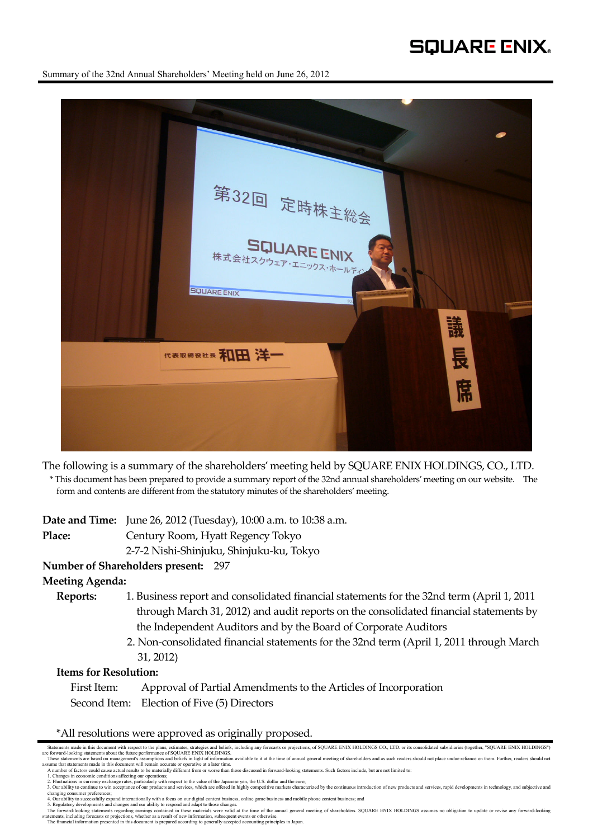# **SQUARE ENIX.**

Summary of the 32nd Annual Shareholders' Meeting held on June 26, 2012



The following is a summary of the shareholders' meeting held by SQUARE ENIX HOLDINGS, CO., LTD.

\* This document has been prepared to provide a summary report of the 32nd annual shareholders' meeting on our website. The form and contents are different from the statutory minutes of the shareholders' meeting.

**Date and Time:** June 26, 2012 (Tuesday), 10:00 a.m. to 10:38 a.m. **Place:** Century Room, Hyatt Regency Tokyo 2-7-2 Nishi-Shinjuku, Shinjuku-ku, Tokyo

### **Number of Shareholders present:** 297

**Meeting Agenda:** 

- **Reports:** 1. Business report and consolidated financial statements for the 32nd term (April 1, 2011 through March 31, 2012) and audit reports on the consolidated financial statements by the Independent Auditors and by the Board of Corporate Auditors
	- 2. Non-consolidated financial statements for the 32nd term (April 1, 2011 through March 31, 2012)

### **Items for Resolution:**

First Item: Approval of Partial Amendments to the Articles of Incorporation Second Item: Election of Five (5) Directors

\*All resolutions were approved as originally proposed.

Statements made in this document with respect to the plans, estimates, strategies and beliefs, including any forecasts or projections, of SQUARE ENIX HOLDINGS CO., LTD. or its consolidated subsidiaries (together, "SQUARE E n and a statements are based on management's assumptions and beliefs in light of information available to it at the time of annual general meeting of shareholders and as such readers should not place undue reliance on them

assume that statements made in this document will remain accurate or operative at a later time.<br>A number of factors could cause actual results to be materially different from or worse than those discussed in forward-lookin

<sup>1.</sup> Changes in economic conditions affecting our operations;<br>2. Fluctuations in eurrency externs pritcularly with respect to the value of the Japanese yen, the U.S. dollar and the euro;<br>3. Our ability to continue to win acc

changing consumer preferences;<br>4. Our ability to successfully expand internationally with a focus on our digital content business, online game business and mobile phone content business; and<br>5. Regulatory developments and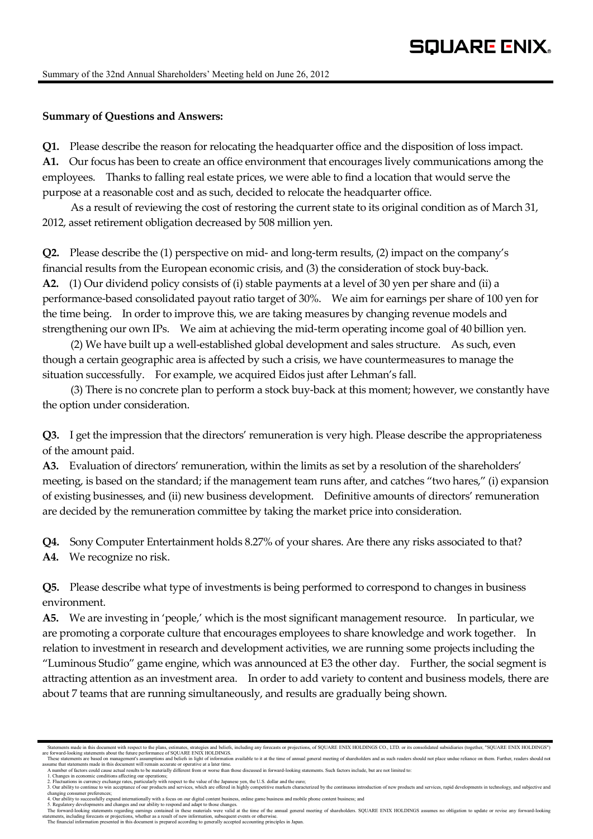## **Summary of Questions and Answers:**

**Q1.** Please describe the reason for relocating the headquarter office and the disposition of loss impact. **A1.** Our focus has been to create an office environment that encourages lively communications among the employees. Thanks to falling real estate prices, we were able to find a location that would serve the purpose at a reasonable cost and as such, decided to relocate the headquarter office.

As a result of reviewing the cost of restoring the current state to its original condition as of March 31, 2012, asset retirement obligation decreased by 508 million yen.

**Q2.** Please describe the (1) perspective on mid- and long-term results, (2) impact on the company's financial results from the European economic crisis, and (3) the consideration of stock buy-back. **A2.** (1) Our dividend policy consists of (i) stable payments at a level of 30 yen per share and (ii) a performance-based consolidated payout ratio target of 30%. We aim for earnings per share of 100 yen for the time being. In order to improve this, we are taking measures by changing revenue models and strengthening our own IPs. We aim at achieving the mid-term operating income goal of 40 billion yen.

(2) We have built up a well-established global development and sales structure. As such, even though a certain geographic area is affected by such a crisis, we have countermeasures to manage the situation successfully. For example, we acquired Eidos just after Lehman's fall.

(3) There is no concrete plan to perform a stock buy-back at this moment; however, we constantly have the option under consideration.

**Q3.** I get the impression that the directors' remuneration is very high. Please describe the appropriateness of the amount paid.

**A3.** Evaluation of directors' remuneration, within the limits as set by a resolution of the shareholders' meeting, is based on the standard; if the management team runs after, and catches "two hares," (i) expansion of existing businesses, and (ii) new business development. Definitive amounts of directors' remuneration are decided by the remuneration committee by taking the market price into consideration.

**Q4.** Sony Computer Entertainment holds 8.27% of your shares. Are there any risks associated to that? **A4.** We recognize no risk.

**Q5.** Please describe what type of investments is being performed to correspond to changes in business environment.

**A5.** We are investing in 'people,' which is the most significant management resource. In particular, we are promoting a corporate culture that encourages employees to share knowledge and work together. In relation to investment in research and development activities, we are running some projects including the "Luminous Studio" game engine, which was announced at E3 the other day. Further, the social segment is attracting attention as an investment area. In order to add variety to content and business models, there are about 7 teams that are running simultaneously, and results are gradually being shown.

Statements made in this document with respect to the plans, estimates, strategies and beliefs, including any forecasts or projections, of SQUARE ENIX HOLDINGS CO., LTD. or its consolidated subsidiaries (together, "SQUARE E These statements are based on management's assumptions and beliefs in light of information available to it at the time of annual general meeting of shareholders and as such readers should not place undue reliance on them.

assume that statements made in this document will remain accurate or operative at a later time.<br>A number of factors could cause actual results to be materially different from or worse than those discussed in forward-lookin

<sup>1.</sup> Changes in economic conditions affecting our operations;<br>2. Fluctuations in eurrency externs pritcularly with respect to the value of the Japanese yen, the U.S. dollar and the euro;<br>3. Our ability to continue to win acc

changing consumer preferences;<br>4. Our ability to successfully expand internationally with a focus on our digital content business, online game business and mobile phone content business; and<br>5. Regulatory developments and